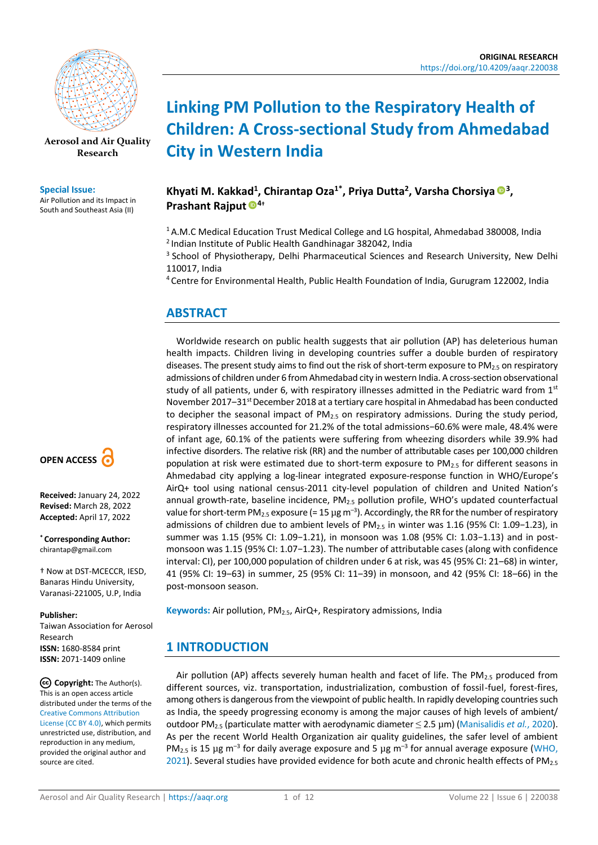

**[Aerosol and Air Quality](https://aaqr.org/)  [Research](https://aaqr.org/)**

#### **Special Issue:**

Air Pollution and its Impact in South and Southeast Asia (II)



**Received:** January 24, 2022 **Revised:** March 28, 2022 **Accepted:** April 17, 2022

**\* Corresponding Author:** chirantap@gmail.com

† Now at DST-MCECCR, IESD, Banaras Hindu University, Varanasi-221005, U.P, India

#### **Publisher:**

Taiwan Association for Aerosol Research **ISSN:** 1680-8584 print **ISSN:** 2071-1409 online

**Copyright:** The Author(s). This is an open access article distributed under the terms of the [Creative Commons Attribution](https://creativecommons.org/licenses/by/4.0/)  [License \(CC BY 4.0\),](https://creativecommons.org/licenses/by/4.0/) which permits unrestricted use, distribution, and reproduction in any medium, provided the original author and source are cited.

# **Linking PM Pollution to the Respiratory Health of Children: A Cross-sectional Study from Ahmedabad City in Western India**

# **Khyati M. Kakkad<sup>1</sup> , Chirantap Oza1\*, Priya Dutta<sup>2</sup> , Varsha Chorsiya <sup>3</sup> , Prashant Rajput <sup>4</sup>†**

<sup>1</sup> A.M.C Medical Education Trust Medical College and LG hospital, Ahmedabad 380008, India 2 Indian Institute of Public Health Gandhinagar 382042, India

<sup>3</sup> School of Physiotherapy, Delhi Pharmaceutical Sciences and Research University, New Delhi 110017, India

<sup>4</sup> Centre for Environmental Health, Public Health Foundation of India, Gurugram 122002, India

# **ABSTRACT**

Worldwide research on public health suggests that air pollution (AP) has deleterious human health impacts. Children living in developing countries suffer a double burden of respiratory diseases. The present study aims to find out the risk of short-term exposure to PM $_{2.5}$  on respiratory admissions of children under 6 from Ahmedabad city in western India. A cross-section observational study of all patients, under 6, with respiratory illnesses admitted in the Pediatric ward from  $1<sup>st</sup>$ November 2017–31<sup>st</sup> December 2018 at a tertiary care hospital in Ahmedabad has been conducted to decipher the seasonal impact of PM<sub>2.5</sub> on respiratory admissions. During the study period, respiratory illnesses accounted for 21.2% of the total admissions−60.6% were male, 48.4% were of infant age, 60.1% of the patients were suffering from wheezing disorders while 39.9% had infective disorders. The relative risk (RR) and the number of attributable cases per 100,000 children population at risk were estimated due to short-term exposure to  $PM_{2.5}$  for different seasons in Ahmedabad city applying a log-linear integrated exposure-response function in WHO/Europe's AirQ+ tool using national census-2011 city-level population of children and United Nation's annual growth-rate, baseline incidence,  $PM_{2.5}$  pollution profile, WHO's updated counterfactual value for short-term PM<sub>2.5</sub> exposure (= 15  $\mu$ g m<sup>-3</sup>). Accordingly, the RR for the number of respiratory admissions of children due to ambient levels of PM2.5 in winter was 1.16 (95% CI: 1.09−1.23), in summer was 1.15 (95% CI: 1.09−1.21), in monsoon was 1.08 (95% CI: 1.03−1.13) and in postmonsoon was 1.15 (95% CI: 1.07−1.23). The number of attributable cases (along with confidence interval: CI), per 100,000 population of children under 6 at risk, was 45 (95% CI: 21-68) in winter, 41 (95% CI: 19‒63) in summer, 25 (95% CI: 11‒39) in monsoon, and 42 (95% CI: 18‒66) in the post-monsoon season.

**Keywords:** Air pollution, PM2.5, AirQ+, Respiratory admissions, India

# **1 INTRODUCTION**

Air pollution (AP) affects severely human health and facet of life. The PM<sub>2.5</sub> produced from different sources, viz. transportation, industrialization, combustion of fossil-fuel, forest-fires, among others is dangerous from the viewpoint of public health. In rapidly developing countries such as India, the speedy progressing economy is among the major causes of high levels of ambient/ outdoor PM2.5 (particulate matter with aerodynamic diameter ≤ 2.5 µm) [\(Manisalidis](#page-9-0) *et al.*, 2020). As per the recent World Health Organization air quality guidelines, the safer level of ambient PM<sub>2.5</sub> is 15 µg m<sup>-3</sup> for daily average exposure and 5 µg m<sup>-3</sup> for annual average exposure (WHO, [2021\)](#page-10-0). Several studies have provided evidence for both acute and chronic health effects of PM<sub>2.5</sub>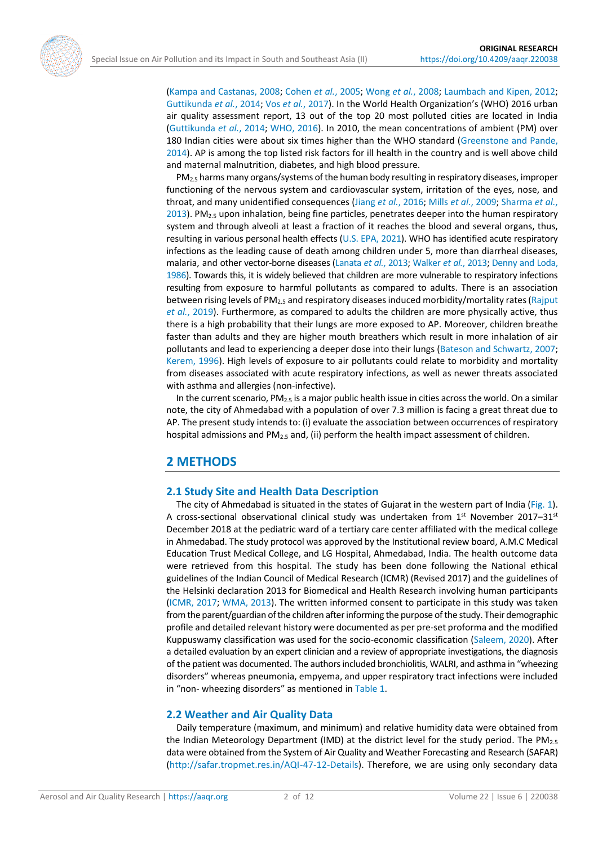

PM2.5 harms many organs/systems of the human body resulting in respiratory diseases, improper functioning of the nervous system and cardiovascular system, irritation of the eyes, nose, and throat, and many unidentified consequences (Jiang *et al.*[, 2016;](#page-9-5) Mills *et al.*[, 2009;](#page-10-4) [Sharma](#page-10-5) *et al.*, [2013\)](#page-10-5). PM $_{2.5}$  upon inhalation, being fine particles, penetrates deeper into the human respiratory system and through alveoli at least a fraction of it reaches the blood and several organs, thus, resulting in various personal health effects [\(U.S. EPA, 2021\)](#page-10-6). WHO has identified acute respiratory infections as the leading cause of death among children under 5, more than diarrheal diseases, malaria, and other vector-borne diseases [\(Lanata](#page-9-6) *et al.*, 2013; [Walker](#page-10-7) *et al.*, 2013; [Denny and Loda,](#page-9-7)  [1986\)](#page-9-7). Towards this, it is widely believed that children are more vulnerable to respiratory infections resulting from exposure to harmful pollutants as compared to adults. There is an association between rising levels of PM2.5 and respiratory diseases induced morbidity/mortality rates [\(Rajput](#page-10-8)  *et al.*[, 2019\)](#page-10-8). Furthermore, as compared to adults the children are more physically active, thus there is a high probability that their lungs are more exposed to AP. Moreover, children breathe faster than adults and they are higher mouth breathers which result in more inhalation of air pollutants and lead to experiencing a deeper dose into their lungs [\(Bateson and Schwartz, 2007;](#page-8-1) [Kerem, 1996\)](#page-9-8). High levels of exposure to air pollutants could relate to morbidity and mortality from diseases associated with acute respiratory infections, as well as newer threats associated with asthma and allergies (non-infective).

In the current scenario, PM<sub>2.5</sub> is a major public health issue in cities across the world. On a similar note, the city of Ahmedabad with a population of over 7.3 million is facing a great threat due to AP. The present study intends to: (i) evaluate the association between occurrences of respiratory hospital admissions and  $PM<sub>2.5</sub>$  and, (ii) perform the health impact assessment of children.

### **2 METHODS**

#### **2.1 Study Site and Health Data Description**

The city of Ahmedabad is situated in the states of Gujarat in the western part of India [\(Fig. 1\)](#page-2-0). A cross-sectional observational clinical study was undertaken from  $1^{st}$  November 2017–31st December 2018 at the pediatric ward of a tertiary care center affiliated with the medical college in Ahmedabad. The study protocol was approved by the Institutional review board, A.M.C Medical Education Trust Medical College, and LG Hospital, Ahmedabad, India. The health outcome data were retrieved from this hospital. The study has been done following the National ethical guidelines of the Indian Council of Medical Research (ICMR) (Revised 2017) and the guidelines of the Helsinki declaration 2013 for Biomedical and Health Research involving human participants [\(ICMR, 2017;](#page-9-9) [WMA, 2013\)](#page-11-0). The written informed consent to participate in this study was taken from the parent/guardian of the children after informing the purpose of the study. Their demographic profile and detailed relevant history were documented as per pre-set proforma and the modified Kuppuswamy classification was used for the socio-economic classification [\(Saleem, 2020\)](#page-10-9). After a detailed evaluation by an expert clinician and a review of appropriate investigations, the diagnosis of the patient was documented. The authors included bronchiolitis, WALRI, and asthma in "wheezing disorders" whereas pneumonia, empyema, and upper respiratory tract infections were included in "non- wheezing disorders" as mentioned in [Table 1.](#page-2-1)

#### **2.2 Weather and Air Quality Data**

Daily temperature (maximum, and minimum) and relative humidity data were obtained from the Indian Meteorology Department (IMD) at the district level for the study period. The  $PM_{2.5}$ data were obtained from the System of Air Quality and Weather Forecasting and Research (SAFAR) [\(http://safar.tropmet.res.in/AQI-47-12-Details\)](http://safar.tropmet.res.in/AQI-47-12-Details). Therefore, we are using only secondary data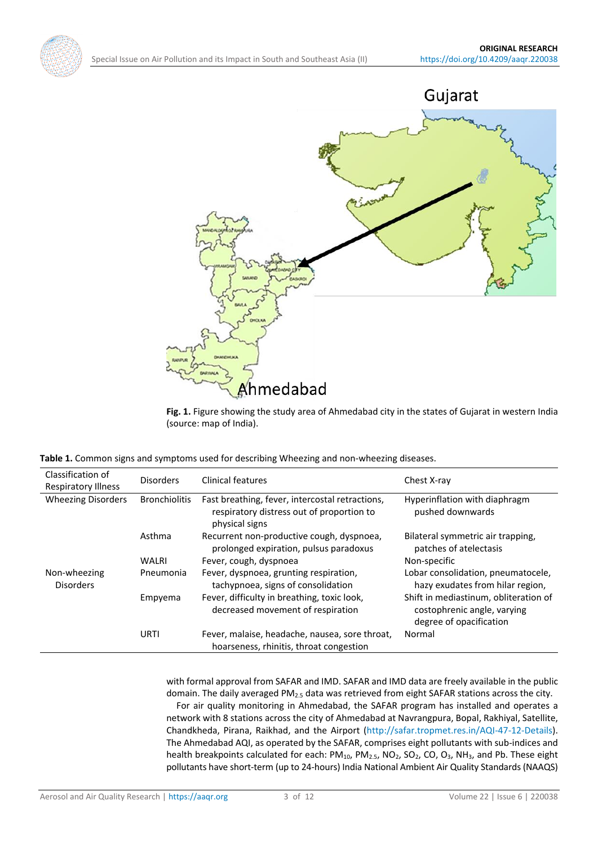<span id="page-2-0"></span>



Fig. 1. Figure showing the study area of Ahmedabad city in the states of Gujarat in western India (source: map of India).

<span id="page-2-1"></span>

|  |  |  |  |  |  |  |  | Table 1. Common signs and symptoms used for describing Wheezing and non-wheezing diseases. |
|--|--|--|--|--|--|--|--|--------------------------------------------------------------------------------------------|
|--|--|--|--|--|--|--|--|--------------------------------------------------------------------------------------------|

| Classification of<br><b>Respiratory Illness</b> | <b>Disorders</b>     | Clinical features                                                                                              | Chest X-ray                                                                                     |
|-------------------------------------------------|----------------------|----------------------------------------------------------------------------------------------------------------|-------------------------------------------------------------------------------------------------|
| <b>Wheezing Disorders</b>                       | <b>Bronchiolitis</b> | Fast breathing, fever, intercostal retractions,<br>respiratory distress out of proportion to<br>physical signs | Hyperinflation with diaphragm<br>pushed downwards                                               |
|                                                 | Asthma               | Recurrent non-productive cough, dyspnoea,<br>prolonged expiration, pulsus paradoxus                            | Bilateral symmetric air trapping,<br>patches of atelectasis                                     |
|                                                 | <b>WALRI</b>         | Fever, cough, dyspnoea                                                                                         | Non-specific                                                                                    |
| Non-wheezing<br><b>Disorders</b>                | Pneumonia            | Fever, dyspnoea, grunting respiration,<br>tachypnoea, signs of consolidation                                   | Lobar consolidation, pneumatocele,<br>hazy exudates from hilar region,                          |
|                                                 | Empyema              | Fever, difficulty in breathing, toxic look,<br>decreased movement of respiration                               | Shift in mediastinum, obliteration of<br>costophrenic angle, varying<br>degree of opacification |
|                                                 | <b>URTI</b>          | Fever, malaise, headache, nausea, sore throat,<br>hoarseness, rhinitis, throat congestion                      | Normal                                                                                          |

with formal approval from SAFAR and IMD. SAFAR and IMD data are freely available in the public domain. The daily averaged PM<sub>2.5</sub> data was retrieved from eight SAFAR stations across the city. For air quality monitoring in Ahmedabad, the SAFAR program has installed and operates a network with 8 stations across the city of Ahmedabad at Navrangpura, Bopal, Rakhiyal, Satellite, Chandkheda, Pirana, Raikhad, and the Airport [\(http://safar.tropmet.res.in/AQI-47-12-Details\)](http://safar.tropmet.res.in/AQI-47-12-Details). The Ahmedabad AQI, as operated by the SAFAR, comprises eight pollutants with sub-indices and health breakpoints calculated for each:  $PM_{10}$ ,  $PM_{2.5}$ ,  $NO_2$ ,  $SO_2$ ,  $CO$ ,  $O_3$ ,  $NH_3$ , and Pb. These eight pollutants have short-term (up to 24-hours) India National Ambient Air Quality Standards (NAAQS)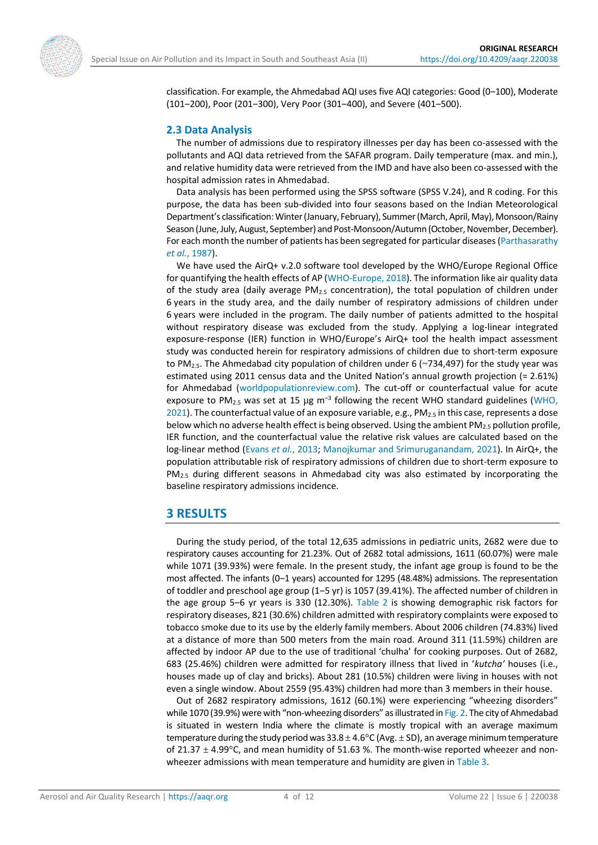

classification. For example, the Ahmedabad AQI uses five AQI categories: Good (0-100), Moderate (101-200), Poor (201-300), Very Poor (301-400), and Severe (401-500).

#### **2.3 Data Analysis**

The number of admissions due to respiratory illnesses per day has been co-assessed with the pollutants and AQI data retrieved from the SAFAR program. Daily temperature (max. and min.), and relative humidity data were retrieved from the IMD and have also been co-assessed with the hospital admission rates in Ahmedabad.

Data analysis has been performed using the SPSS software (SPSS V.24), and R coding. For this purpose, the data has been sub-divided into four seasons based on the Indian Meteorological Department's classification: Winter (January, February), Summer (March,April, May), Monsoon/Rainy Season (June, July, August, September) and Post-Monsoon/Autumn (October, November, December). For each month the number of patients has been segregated for particular diseases [\(Parthasarathy](#page-10-10) *et al.*[, 1987\)](#page-10-10).

We have used the AirQ+ v.2.0 software tool developed by the WHO/Europe Regional Office for quantifying the health effects of AP [\(WHO-Europe, 2018\)](#page-10-11). The information like air quality data of the study area (daily average PM2.5 concentration), the total population of children under 6 years in the study area, and the daily number of respiratory admissions of children under 6 years were included in the program. The daily number of patients admitted to the hospital without respiratory disease was excluded from the study. Applying a log-linear integrated exposure-response (IER) function in WHO/Europe's AirQ+ tool the health impact assessment study was conducted herein for respiratory admissions of children due to short-term exposure to PM<sub>2.5</sub>. The Ahmedabad city population of children under 6 ( $\sim$ 734,497) for the study year was estimated using 2011 census data and the United Nation's annual growth projection (= 2.61%) for Ahmedabad [\(worldpopulationreview.com\)](https://worldpopulationreview.com/). The cut-off or counterfactual value for acute exposure to PM<sub>2.5</sub> was set at 15  $\mu$ g m<sup>-3</sup> following the recent WHO standard guidelines (WHO, [2021\)](#page-10-0). The counterfactual value of an exposure variable, e.g.,  $PM_{2.5}$  in this case, represents a dose below which no adverse health effect is being observed. Using the ambient  $PM_{2.5}$  pollution profile, IER function, and the counterfactual value the relative risk values are calculated based on the log-linear method [\(Evans](#page-9-10) *et al.*, 2013[; Manojkumar and Srimuruganandam, 2021\)](#page-9-11). In AirQ+, the population attributable risk of respiratory admissions of children due to short-term exposure to PM<sub>2.5</sub> during different seasons in Ahmedabad city was also estimated by incorporating the baseline respiratory admissions incidence.

# **3 RESULTS**

During the study period, of the total 12,635 admissions in pediatric units, 2682 were due to respiratory causes accounting for 21.23%. Out of 2682 total admissions, 1611 (60.07%) were male while 1071 (39.93%) were female. In the present study, the infant age group is found to be the most affected. The infants (0‒1 years) accounted for 1295 (48.48%) admissions. The representation of toddler and preschool age group (1‒5 yr) is 1057 (39.41%). The affected number of children in the age group 5–6 yr years is 330 (12.30%). [Table 2](#page-4-0) is showing demographic risk factors for respiratory diseases, 821 (30.6%) children admitted with respiratory complaints were exposed to tobacco smoke due to its use by the elderly family members. About 2006 children (74.83%) lived at a distance of more than 500 meters from the main road. Around 311 (11.59%) children are affected by indoor AP due to the use of traditional 'chulha' for cooking purposes. Out of 2682, 683 (25.46%) children were admitted for respiratory illness that lived in '*kutcha'* houses (i.e., houses made up of clay and bricks). About 281 (10.5%) children were living in houses with not even a single window. About 2559 (95.43%) children had more than 3 members in their house.

Out of 2682 respiratory admissions, 1612 (60.1%) were experiencing "wheezing disorders" while 1070 (39.9%) were with "non-wheezing disorders" as illustrated in [Fig.](#page-4-1) 2. The city of Ahmedabad is situated in western India where the climate is mostly tropical with an average maximum temperature during the study period was  $33.8 \pm 4.6^{\circ}$ C (Avg.  $\pm$  SD), an average minimum temperature of 21.37  $\pm$  4.99°C, and mean humidity of 51.63 %. The month-wise reported wheezer and nonwheezer admissions with mean temperature and humidity are given in [Table 3.](#page-4-2)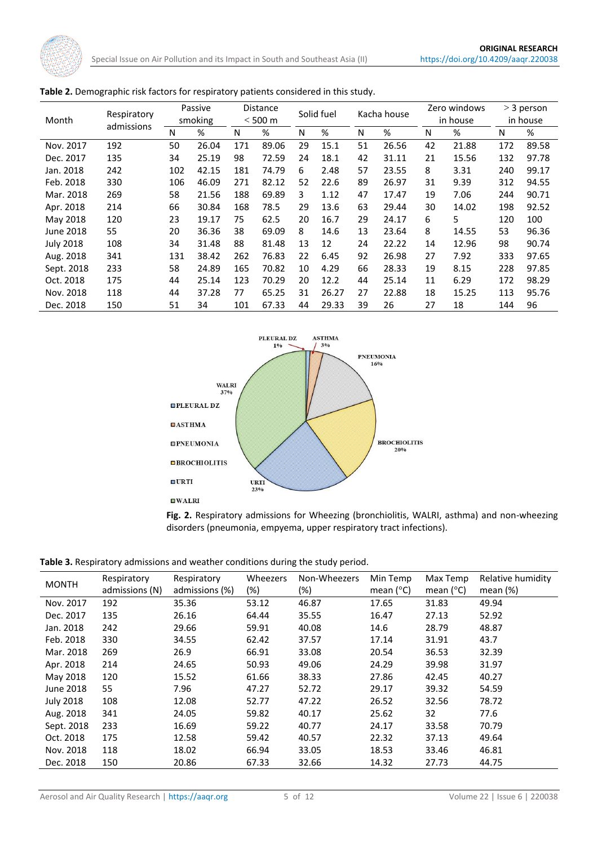| Month            | Respiratory | Passive<br>smoking |       | <b>Distance</b><br>$<$ 500 m |       | Solid fuel |       | Kacha house |       | Zero windows<br>in house |       | $>$ 3 person<br>in house |       |
|------------------|-------------|--------------------|-------|------------------------------|-------|------------|-------|-------------|-------|--------------------------|-------|--------------------------|-------|
|                  | admissions  | N                  | %     | N                            | %     | N          | %     | N           | %     | N                        | %     | Ν                        | %     |
| Nov. 2017        | 192         | 50                 | 26.04 | 171                          | 89.06 | 29         | 15.1  | 51          | 26.56 | 42                       | 21.88 | 172                      | 89.58 |
| Dec. 2017        | 135         | 34                 | 25.19 | 98                           | 72.59 | 24         | 18.1  | 42          | 31.11 | 21                       | 15.56 | 132                      | 97.78 |
| Jan. 2018        | 242         | 102                | 42.15 | 181                          | 74.79 | 6          | 2.48  | 57          | 23.55 | 8                        | 3.31  | 240                      | 99.17 |
| Feb. 2018        | 330         | 106                | 46.09 | 271                          | 82.12 | 52         | 22.6  | 89          | 26.97 | 31                       | 9.39  | 312                      | 94.55 |
| Mar. 2018        | 269         | 58                 | 21.56 | 188                          | 69.89 | 3          | 1.12  | 47          | 17.47 | 19                       | 7.06  | 244                      | 90.71 |
| Apr. 2018        | 214         | 66                 | 30.84 | 168                          | 78.5  | 29         | 13.6  | 63          | 29.44 | 30                       | 14.02 | 198                      | 92.52 |
| May 2018         | 120         | 23                 | 19.17 | 75                           | 62.5  | 20         | 16.7  | 29          | 24.17 | 6                        | 5     | 120                      | 100   |
| June 2018        | 55          | 20                 | 36.36 | 38                           | 69.09 | 8          | 14.6  | 13          | 23.64 | 8                        | 14.55 | 53                       | 96.36 |
| <b>July 2018</b> | 108         | 34                 | 31.48 | 88                           | 81.48 | 13         | 12    | 24          | 22.22 | 14                       | 12.96 | 98                       | 90.74 |
| Aug. 2018        | 341         | 131                | 38.42 | 262                          | 76.83 | 22         | 6.45  | 92          | 26.98 | 27                       | 7.92  | 333                      | 97.65 |
| Sept. 2018       | 233         | 58                 | 24.89 | 165                          | 70.82 | 10         | 4.29  | 66          | 28.33 | 19                       | 8.15  | 228                      | 97.85 |
| Oct. 2018        | 175         | 44                 | 25.14 | 123                          | 70.29 | 20         | 12.2  | 44          | 25.14 | 11                       | 6.29  | 172                      | 98.29 |
| Nov. 2018        | 118         | 44                 | 37.28 | 77                           | 65.25 | 31         | 26.27 | 27          | 22.88 | 18                       | 15.25 | 113                      | 95.76 |
| Dec. 2018        | 150         | 51                 | 34    | 101                          | 67.33 | 44         | 29.33 | 39          | 26    | 27                       | 18    | 144                      | 96    |

<span id="page-4-0"></span>

<span id="page-4-1"></span>

**Fig. 2.** Respiratory admissions for Wheezing (bronchiolitis, WALRI, asthma) and non-wheezing disorders (pneumonia, empyema, upper respiratory tract infections).

<span id="page-4-2"></span>**Table 3.** Respiratory admissions and weather conditions during the study period.

| <b>MONTH</b>     | Respiratory<br>admissions (N) | Respiratory<br>admissions (%) | Wheezers<br>$(\%)$ | Non-Wheezers<br>$(\%)$ | Min Temp<br>mean $(^{\circ}C)$ | Max Temp<br>mean $(^{\circ}C)$ | Relative humidity<br>mean $(\%)$ |
|------------------|-------------------------------|-------------------------------|--------------------|------------------------|--------------------------------|--------------------------------|----------------------------------|
| Nov. 2017        | 192                           | 35.36                         | 53.12              | 46.87                  | 17.65                          | 31.83                          | 49.94                            |
| Dec. 2017        | 135                           | 26.16                         | 64.44              | 35.55                  | 16.47                          | 27.13                          | 52.92                            |
| Jan. 2018        | 242                           | 29.66                         | 59.91              | 40.08                  | 14.6                           | 28.79                          | 48.87                            |
| Feb. 2018        | 330                           | 34.55                         | 62.42              | 37.57                  | 17.14                          | 31.91                          | 43.7                             |
| Mar. 2018        | 269                           | 26.9                          | 66.91              | 33.08                  | 20.54                          | 36.53                          | 32.39                            |
| Apr. 2018        | 214                           | 24.65                         | 50.93              | 49.06                  | 24.29                          | 39.98                          | 31.97                            |
| May 2018         | 120                           | 15.52                         | 61.66              | 38.33                  | 27.86                          | 42.45                          | 40.27                            |
| June 2018        | 55                            | 7.96                          | 47.27              | 52.72                  | 29.17                          | 39.32                          | 54.59                            |
| <b>July 2018</b> | 108                           | 12.08                         | 52.77              | 47.22                  | 26.52                          | 32.56                          | 78.72                            |
| Aug. 2018        | 341                           | 24.05                         | 59.82              | 40.17                  | 25.62                          | 32                             | 77.6                             |
| Sept. 2018       | 233                           | 16.69                         | 59.22              | 40.77                  | 24.17                          | 33.58                          | 70.79                            |
| Oct. 2018        | 175                           | 12.58                         | 59.42              | 40.57                  | 22.32                          | 37.13                          | 49.64                            |
| Nov. 2018        | 118                           | 18.02                         | 66.94              | 33.05                  | 18.53                          | 33.46                          | 46.81                            |
| Dec. 2018        | 150                           | 20.86                         | 67.33              | 32.66                  | 14.32                          | 27.73                          | 44.75                            |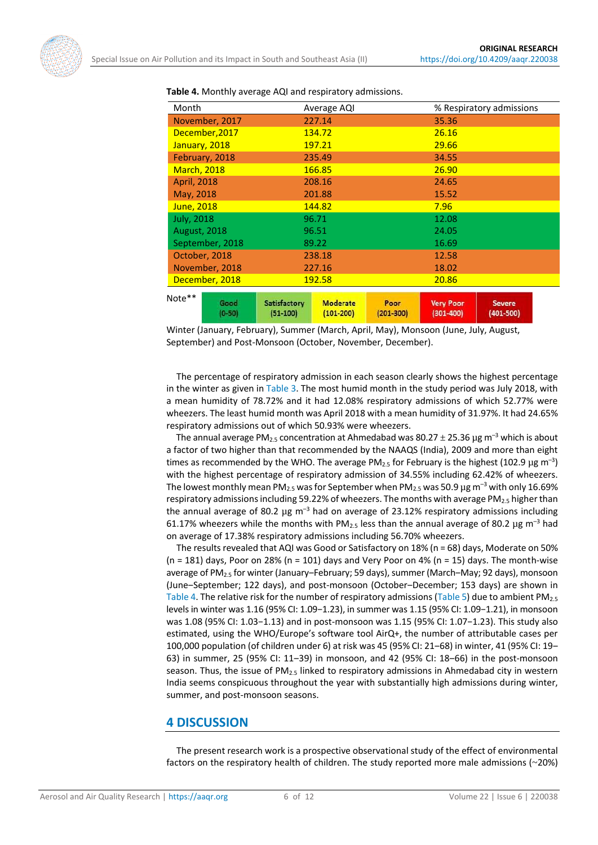| Month               |                  |                            | Average AQI                      |                       |                                   | % Respiratory admissions       |  |  |  |
|---------------------|------------------|----------------------------|----------------------------------|-----------------------|-----------------------------------|--------------------------------|--|--|--|
| November, 2017      |                  | 227.14                     |                                  |                       | 35.36                             |                                |  |  |  |
| December, 2017      |                  | 134.72                     |                                  | 26.16                 |                                   |                                |  |  |  |
| January, 2018       |                  | 197.21                     |                                  |                       | 29.66                             |                                |  |  |  |
| February, 2018      |                  | 235.49                     |                                  |                       | 34.55                             |                                |  |  |  |
| <b>March, 2018</b>  |                  | 166.85                     |                                  |                       | 26.90                             |                                |  |  |  |
| <b>April, 2018</b>  |                  | 208.16                     |                                  | 24.65                 |                                   |                                |  |  |  |
| May, 2018           |                  | 201.88                     |                                  | 15.52                 |                                   |                                |  |  |  |
| June, 2018          |                  | 144.82                     |                                  | 7.96                  |                                   |                                |  |  |  |
| <b>July, 2018</b>   |                  | 96.71                      |                                  | 12.08                 |                                   |                                |  |  |  |
| <b>August, 2018</b> |                  | 96.51                      |                                  | 24.05                 |                                   |                                |  |  |  |
| September, 2018     |                  | 89.22                      |                                  | 16.69                 |                                   |                                |  |  |  |
| October, 2018       |                  | 238.18                     |                                  |                       | 12.58                             |                                |  |  |  |
| November, 2018      |                  | 227.16                     |                                  | 18.02                 |                                   |                                |  |  |  |
| December, 2018      |                  | 192.58                     |                                  | 20.86                 |                                   |                                |  |  |  |
| Note**              | Good<br>$(0-50)$ | Satisfactory<br>$(51-100)$ | <b>Moderate</b><br>$(101 - 200)$ | Poor<br>$(201 - 300)$ | <b>Very Poor</b><br>$(301 - 400)$ | <b>Severe</b><br>$(401 - 500)$ |  |  |  |

<span id="page-5-0"></span>**Table 4.** Monthly average AQI and respiratory admissions.

Winter (January, February), Summer (March, April, May), Monsoon (June, July, August, September) and Post-Monsoon (October, November, December).

The percentage of respiratory admission in each season clearly shows the highest percentage in the winter as given in [Table 3.](#page-4-2) The most humid month in the study period was July 2018, with a mean humidity of 78.72% and it had 12.08% respiratory admissions of which 52.77% were wheezers. The least humid month was April 2018 with a mean humidity of 31.97%. It had 24.65% respiratory admissions out of which 50.93% were wheezers.

The annual average PM<sub>2.5</sub> concentration at Ahmedabad was  $80.27 \pm 25.36 \,\mu g$  m<sup>-3</sup> which is about a factor of two higher than that recommended by the NAAQS (India), 2009 and more than eight times as recommended by the WHO. The average PM<sub>2.5</sub> for February is the highest (102.9 µg m<sup>-3</sup>) with the highest percentage of respiratory admission of 34.55% including 62.42% of wheezers. The lowest monthly mean PM<sub>2.5</sub> was for September when PM<sub>2.5</sub> was 50.9  $\mu$ g m<sup>-3</sup> with only 16.69% respiratory admissions including 59.22% of wheezers. The months with average PM<sub>2.5</sub> higher than the annual average of 80.2  $\mu$ g m<sup>-3</sup> had on average of 23.12% respiratory admissions including 61.17% wheezers while the months with PM<sub>2.5</sub> less than the annual average of 80.2  $\mu$ g m<sup>-3</sup> had on average of 17.38% respiratory admissions including 56.70% wheezers.

The results revealed that AQI was Good or Satisfactory on 18% (n = 68) days, Moderate on 50%  $(n = 181)$  days, Poor on 28%  $(n = 101)$  days and Very Poor on 4%  $(n = 15)$  days. The month-wise average of PM<sub>2.5</sub> for winter (January–February; 59 days), summer (March–May; 92 days), monsoon (June-September; 122 days), and post-monsoon (October-December; 153 days) are shown in [Table 4.](#page-5-0) The relative risk for the number of respiratory admissions [\(Table 5\)](#page-6-0) due to ambient PM<sub>2.5</sub> levels in winter was 1.16 (95% CI: 1.09−1.23), in summer was 1.15 (95% CI: 1.09−1.21), in monsoon was 1.08 (95% CI: 1.03−1.13) and in post-monsoon was 1.15 (95% CI: 1.07−1.23). This study also estimated, using the WHO/Europe's software tool AirQ+, the number of attributable cases per 100,000 population (of children under 6) at risk was 45 (95% CI: 21-68) in winter, 41 (95% CI: 19-63) in summer, 25 (95% CI: 11‒39) in monsoon, and 42 (95% CI: 18‒66) in the post-monsoon season. Thus, the issue of  $PM_{2.5}$  linked to respiratory admissions in Ahmedabad city in western India seems conspicuous throughout the year with substantially high admissions during winter, summer, and post-monsoon seasons.

#### **4 DISCUSSION**

The present research work is a prospective observational study of the effect of environmental factors on the respiratory health of children. The study reported more male admissions (~20%)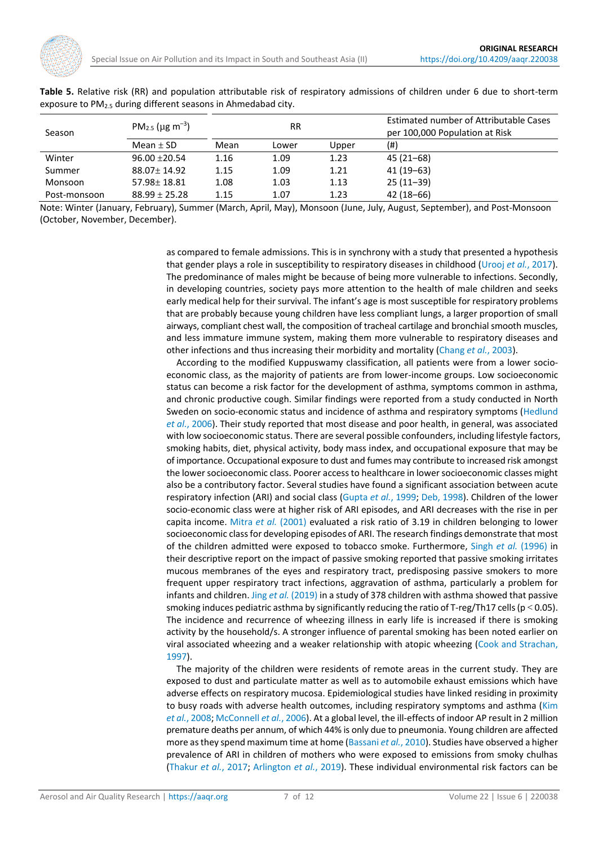

<span id="page-6-0"></span>

| Table 5. Relative risk (RR) and population attributable risk of respiratory admissions of children under 6 due to short-term |  |  |  |  |  |  |
|------------------------------------------------------------------------------------------------------------------------------|--|--|--|--|--|--|
| exposure to PM <sub>2.5</sub> during different seasons in Ahmedabad city.                                                    |  |  |  |  |  |  |

| Season       | PM <sub>2.5</sub> ( $\mu$ g m <sup>-3</sup> ) |      | <b>RR</b> |       | Estimated number of Attributable Cases<br>per 100,000 Population at Risk |  |  |  |
|--------------|-----------------------------------------------|------|-----------|-------|--------------------------------------------------------------------------|--|--|--|
|              | Mean $\pm$ SD                                 | Mean | Lower     | Upper | (#)                                                                      |  |  |  |
| Winter       | $96.00 + 20.54$                               | 1.16 | 1.09      | 1.23  | 45 (21–68)                                                               |  |  |  |
| Summer       | $88.07 \pm 14.92$                             | 1.15 | 1.09      | 1.21  | 41 (19–63)                                                               |  |  |  |
| Monsoon      | $57.98 \pm 18.81$                             | 1.08 | 1.03      | 1.13  | $25(11-39)$                                                              |  |  |  |
| Post-monsoon | $88.99 \pm 25.28$                             | 1.15 | 1.07      | 1.23  | $42(18-66)$                                                              |  |  |  |

Note: Winter (January, February), Summer (March, April, May), Monsoon (June, July, August, September), and Post-Monsoon (October, November, December).

> as compared to female admissions. This is in synchrony with a study that presented a hypothesis that gender plays a role in susceptibility to respiratory diseases in childhood [\(Urooj](#page-10-12) *et al.*, 2017). The predominance of males might be because of being more vulnerable to infections. Secondly, in developing countries, society pays more attention to the health of male children and seeks early medical help for their survival. The infant's age is most susceptible for respiratory problems that are probably because young children have less compliant lungs, a larger proportion of small airways, compliant chest wall, the composition of tracheal cartilage and bronchial smooth muscles, and less immature immune system, making them more vulnerable to respiratory diseases and other infections and thus increasing their morbidity and mortality [\(Chang](#page-8-2) *et al.*, 2003).

> According to the modified Kuppuswamy classification, all patients were from a lower socioeconomic class, as the majority of patients are from lower-income groups. Low socioeconomic status can become a risk factor for the development of asthma, symptoms common in asthma, and chronic productive cough. Similar findings were reported from a study conducted in North Sweden on socio-economic status and incidence of asthma and respiratory symptoms [\(Hedlund](#page-9-12)  *et al.*[, 2006\)](#page-9-12). Their study reported that most disease and poor health, in general, was associated with low socioeconomic status. There are several possible confounders, including lifestyle factors, smoking habits, diet, physical activity, body mass index, and occupational exposure that may be of importance. Occupational exposure to dust and fumes may contribute to increased risk amongst the lower socioeconomic class. Poorer access to healthcare in lower socioeconomic classes might also be a contributory factor. Several studies have found a significant association between acute respiratory infection (ARI) and social class [\(Gupta](#page-9-13) *et al.*, 1999; Deb, [1998\)](#page-8-3). Children of the lower socio-economic class were at higher risk of ARI episodes, and ARI decreases with the rise in per capita income. [Mitra](#page-10-13) *et al.* (2001) evaluated a risk ratio of 3.19 in children belonging to lower socioeconomic class for developing episodes of ARI. The research findings demonstrate that most of the children admitted were exposed to tobacco smoke. Furthermore, [Singh](#page-10-14) *et al.* (1996) in their descriptive report on the impact of passive smoking reported that passive smoking irritates mucous membranes of the eyes and respiratory tract, predisposing passive smokers to more frequent upper respiratory tract infections, aggravation of asthma, particularly a problem for infants and children. Jing *et al.* [\(2019\)](#page-9-14) in a study of 378 children with asthma showed that passive smoking induces pediatric asthma by significantly reducing the ratio of T-reg/Th17 cells ( $p < 0.05$ ). The incidence and recurrence of wheezing illness in early life is increased if there is smoking activity by the household/s. A stronger influence of parental smoking has been noted earlier on viral associated wheezing and a weaker relationship with atopic wheezing [\(Cook and Strachan,](#page-8-4)  [1997\)](#page-8-4).

> The majority of the children were residents of remote areas in the current study. They are exposed to dust and particulate matter as well as to automobile exhaust emissions which have adverse effects on respiratory mucosa. Epidemiological studies have linked residing in proximity to busy roads with adverse health outcomes, including respiratory symptoms and asthma (Kim *et al.*[, 2008;](#page-9-15) [McConnell](#page-9-16) *et al.*, 2006). At a global level, the ill-effects of indoor AP result in 2 million premature deaths per annum, of which 44% is only due to pneumonia. Young children are affected more as they spend maximum time at home [\(Bassani](#page-8-5) *et al.*, 2010). Studies have observed a higher prevalence of ARI in children of mothers who were exposed to emissions from smoky chulhas [\(Thakur](#page-10-15) *et al.*, 2017; [Arlington](#page-8-6) *et al.*, 2019). These individual environmental risk factors can be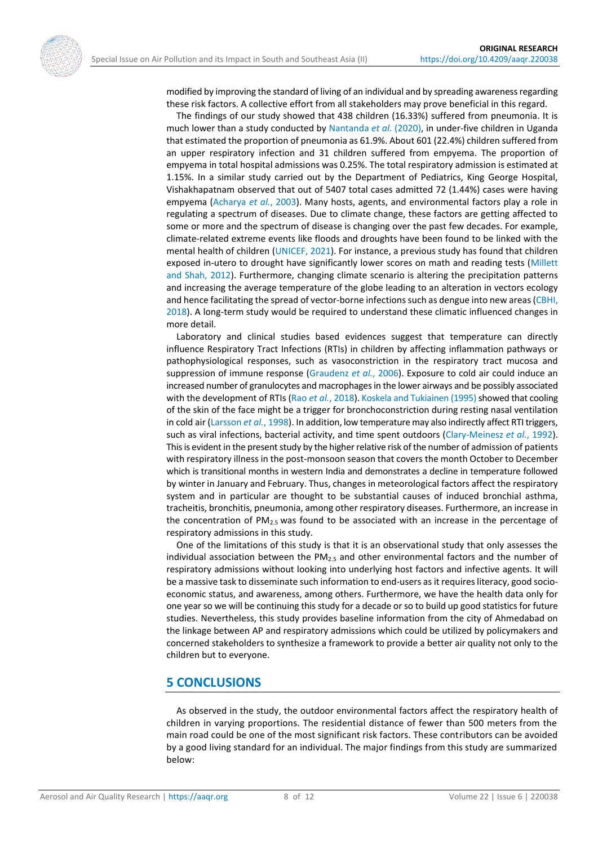

modified by improving the standard of living of an individual and by spreading awareness regarding these risk factors. A collective effort from all stakeholders may prove beneficial in this regard.

The findings of our study showed that 438 children (16.33%) suffered from pneumonia. It is much lower than a study conducted by [Nantanda](#page-10-16) *et al.* (2020), in under-five children in Uganda that estimated the proportion of pneumonia as 61.9%. About 601 (22.4%) children suffered from an upper respiratory infection and 31 children suffered from empyema. The proportion of empyema in total hospital admissions was 0.25%. The total respiratory admission is estimated at 1.15%. In a similar study carried out by the Department of Pediatrics, King George Hospital, Vishakhapatnam observed that out of 5407 total cases admitted 72 (1.44%) cases were having empyema [\(Acharya](#page-8-7) *et al.*, 2003). Many hosts, agents, and environmental factors play a role in regulating a spectrum of diseases. Due to climate change, these factors are getting affected to some or more and the spectrum of disease is changing over the past few decades. For example, climate-related extreme events like floods and droughts have been found to be linked with the mental health of children [\(UNICEF, 2021\)](#page-10-17). For instance, a previous study has found that children exposed in-utero to drought have significantly lower scores on math and reading tests [\(Millett](#page-9-17)  [and Shah, 2012\)](#page-9-17). Furthermore, changing climate scenario is altering the precipitation patterns and increasing the average temperature of the globe leading to an alteration in vectors ecology and hence facilitating the spread of vector-borne infections such as dengue into new areas [\(CBHI,](#page-8-8)  [2018\)](#page-8-8). A long-term study would be required to understand these climatic influenced changes in more detail.

Laboratory and clinical studies based evidences suggest that temperature can directly influence Respiratory Tract Infections (RTIs) in children by affecting inflammation pathways or pathophysiological responses, such as vasoconstriction in the respiratory tract mucosa and suppression of immune response [\(Graudenz](#page-9-18) *et al.*, 2006). Exposure to cold air could induce an increased number of granulocytes and macrophages in the lower airways and be possibly associated with the development of RTIs (Rao *et al.*[, 2018\)](#page-10-18). Koskela and Tukiainen (1995) showed that cooling of the skin of the face might be a trigger for bronchoconstriction during resting nasal ventilation in cold air [\(Larsson](#page-9-20) *et al.*, 1998). In addition, low temperature may also indirectly affect RTI triggers, such as viral infections, bacterial activity, and time spent outdoors [\(Clary-Meinesz](#page-8-9) *et al.*, 1992). This is evident in the present study by the higher relative risk of the number of admission of patients with respiratory illness in the post-monsoon season that covers the month October to December which is transitional months in western India and demonstrates a decline in temperature followed by winter in January and February. Thus, changes in meteorological factors affect the respiratory system and in particular are thought to be substantial causes of induced bronchial asthma, tracheitis, bronchitis, pneumonia, among other respiratory diseases. Furthermore, an increase in the concentration of  $PM_{2.5}$  was found to be associated with an increase in the percentage of respiratory admissions in this study.

One of the limitations of this study is that it is an observational study that only assesses the individual association between the PM<sub>2.5</sub> and other environmental factors and the number of respiratory admissions without looking into underlying host factors and infective agents. It will be a massive task to disseminate such information to end-users as it requires literacy, good socioeconomic status, and awareness, among others. Furthermore, we have the health data only for one year so we will be continuing this study for a decade or so to build up good statistics for future studies. Nevertheless, this study provides baseline information from the city of Ahmedabad on the linkage between AP and respiratory admissions which could be utilized by policymakers and concerned stakeholders to synthesize a framework to provide a better air quality not only to the children but to everyone.

# **5 CONCLUSIONS**

As observed in the study, the outdoor environmental factors affect the respiratory health of children in varying proportions. The residential distance of fewer than 500 meters from the main road could be one of the most significant risk factors. These contributors can be avoided by a good living standard for an individual. The major findings from this study are summarized below: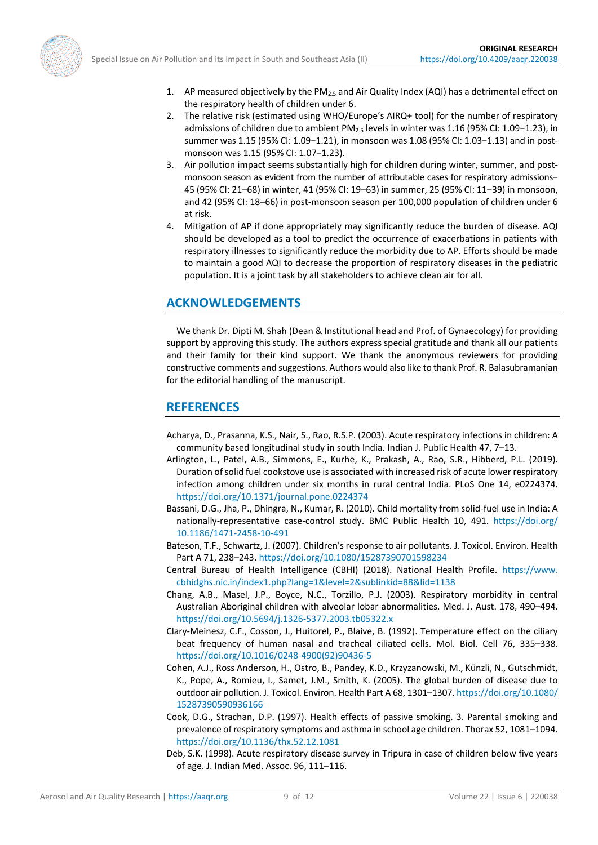

- 1. AP measured objectively by the PM<sub>2.5</sub> and Air Quality Index (AQI) has a detrimental effect on the respiratory health of children under 6.
- 2. The relative risk (estimated using WHO/Europe's AIRQ+ tool) for the number of respiratory admissions of children due to ambient PM2.5 levels in winter was 1.16 (95% CI: 1.09−1.23), in summer was 1.15 (95% CI: 1.09−1.21), in monsoon was 1.08 (95% CI: 1.03−1.13) and in postmonsoon was 1.15 (95% CI: 1.07−1.23).
- 3. Air pollution impact seems substantially high for children during winter, summer, and postmonsoon season as evident from the number of attributable cases for respiratory admissions− 45 (95% CI: 21‒68) in winter, 41 (95% CI: 19‒63) in summer, 25 (95% CI: 11‒39) in monsoon, and 42 (95% CI: 18-66) in post-monsoon season per 100,000 population of children under 6 at risk.
- 4. Mitigation of AP if done appropriately may significantly reduce the burden of disease. AQI should be developed as a tool to predict the occurrence of exacerbations in patients with respiratory illnesses to significantly reduce the morbidity due to AP. Efforts should be made to maintain a good AQI to decrease the proportion of respiratory diseases in the pediatric population. It is a joint task by all stakeholders to achieve clean air for all.

# **ACKNOWLEDGEMENTS**

We thank Dr. Dipti M. Shah (Dean & Institutional head and Prof. of Gynaecology) for providing support by approving this study. The authors express special gratitude and thank all our patients and their family for their kind support. We thank the anonymous reviewers for providing constructive comments and suggestions. Authors would also like to thank Prof. R. Balasubramanian for the editorial handling of the manuscript.

# **REFERENCES**

- <span id="page-8-7"></span>Acharya, D., Prasanna, K.S., Nair, S., Rao, R.S.P. (2003). Acute respiratory infections in children: A community based longitudinal study in south India. Indian J. Public Health 47, 7–13.
- <span id="page-8-6"></span>Arlington, L., Patel, A.B., Simmons, E., Kurhe, K., Prakash, A., Rao, S.R., Hibberd, P.L. (2019). Duration of solid fuel cookstove use is associated with increased risk of acute lower respiratory infection among children under six months in rural central India. PLoS One 14, e0224374. <https://doi.org/10.1371/journal.pone.0224374>
- <span id="page-8-5"></span>Bassani, D.G., Jha, P., Dhingra, N., Kumar, R. (2010). Child mortality from solid-fuel use in India: A nationally-representative case-control study. BMC Public Health 10, 491. [https://doi.org/](https://doi.org/​10.1186/1471-2458-10-491) [10.1186/1471-2458-10-491](https://doi.org/​10.1186/1471-2458-10-491)
- <span id="page-8-1"></span>Bateson, T.F., Schwartz, J. (2007). Children's response to air pollutants. J. Toxicol. Environ. Health Part A 71, 238–243.<https://doi.org/10.1080/15287390701598234>
- <span id="page-8-8"></span>Central Bureau of Health Intelligence (CBHI) (2018). National Health Profile. [https://www.](https://www.cbhidghs.nic.in/index1.php?lang=1&level=2&sublinkid=88&lid=1138) [cbhidghs.nic.in/index1.php?lang=1&level=2&sublinkid=88&lid=1138](https://www.cbhidghs.nic.in/index1.php?lang=1&level=2&sublinkid=88&lid=1138)
- <span id="page-8-2"></span>Chang, A.B., Masel, J.P., Boyce, N.C., Torzillo, P.J. (2003). Respiratory morbidity in central Australian Aboriginal children with alveolar lobar abnormalities. Med. J. Aust. 178, 490–494. <https://doi.org/10.5694/j.1326-5377.2003.tb05322.x>
- <span id="page-8-9"></span>Clary‐Meinesz, C.F., Cosson, J., Huitorel, P., Blaive, B. (1992). Temperature effect on the ciliary beat frequency of human nasal and tracheal ciliated cells. Mol. Biol. Cell 76, 335–338. [https://doi.org/10.1016/0248-4900\(92\)90436-5](https://doi.org/10.1016/0248-4900(92)90436-5)
- <span id="page-8-0"></span>Cohen, A.J., Ross Anderson, H., Ostro, B., Pandey, K.D., Krzyzanowski, M., Künzli, N., Gutschmidt, K., Pope, A., Romieu, I., Samet, J.M., Smith, K. (2005). The global burden of disease due to outdoor air pollution. J. Toxicol. Environ. Health Part A 68, 1301–1307[. https://doi.org/10.1080/](https://doi.org/10.1080/15287390590936166) [15287390590936166](https://doi.org/10.1080/15287390590936166)
- <span id="page-8-4"></span>Cook, D.G., Strachan, D.P. (1997). Health effects of passive smoking. 3. Parental smoking and prevalence of respiratory symptoms and asthma in school age children. Thorax 52, 1081–1094. <https://doi.org/10.1136/thx.52.12.1081>
- <span id="page-8-3"></span>Deb, S.K. (1998). Acute respiratory disease survey in Tripura in case of children below five years of age. J. Indian Med. Assoc. 96, 111–116.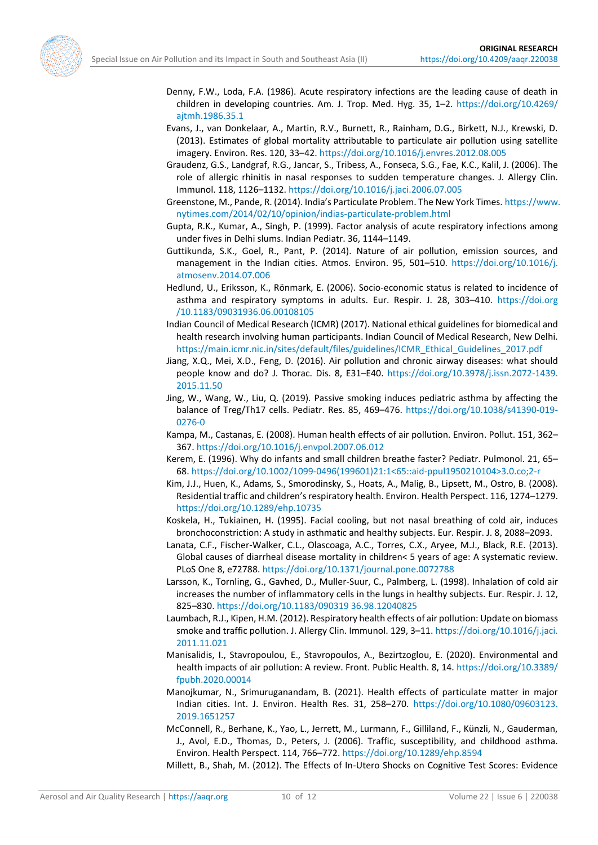<span id="page-9-18"></span><span id="page-9-10"></span><span id="page-9-7"></span>

- Denny, F.W., Loda, F.A. (1986). Acute respiratory infections are the leading cause of death in children in developing countries. Am. J. Trop. Med. Hyg. 35, 1–2. [https://doi.org/10.4269/](https://doi.org/10.4269/ajtmh.1986.35.1) [ajtmh.1986.35.1](https://doi.org/10.4269/ajtmh.1986.35.1)
- Evans, J., van Donkelaar, A., Martin, R.V., Burnett, R., Rainham, D.G., Birkett, N.J., Krewski, D. (2013). Estimates of global mortality attributable to particulate air pollution using satellite imagery. Environ. Res. 120, 33–42.<https://doi.org/10.1016/j.envres.2012.08.005>
- Graudenz, G.S., Landgraf, R.G., Jancar, S., Tribess, A., Fonseca, S.G., Fae, K.C., Kalil, J. (2006). The role of allergic rhinitis in nasal responses to sudden temperature changes. J. Allergy Clin. Immunol. 118, 1126–1132[. https://doi.org/10.1016/j.jaci.2006.07.005](https://doi.org/10.1016/j.jaci.2006.07.005)
- <span id="page-9-4"></span>Greenstone, M., Pande, R. (2014). India's Particulate Problem. The New York Times. [https://www.](https://www.nytimes.com/2014/02/10/opinion/indias-particulate-problem.html) [nytimes.com/2014/02/10/opinion/indias-particulate-problem.html](https://www.nytimes.com/2014/02/10/opinion/indias-particulate-problem.html)
- <span id="page-9-13"></span>Gupta, R.K., Kumar, A., Singh, P. (1999). Factor analysis of acute respiratory infections among under fives in Delhi slums. Indian Pediatr. 36, 1144–1149.
- <span id="page-9-3"></span>Guttikunda, S.K., Goel, R., Pant, P. (2014). Nature of air pollution, emission sources, and management in the Indian cities. Atmos. Environ. 95, 501–510. [https://doi.org/10.1016/j.](https://doi.org/10.1016/j.atmosenv.2014.07.006) [atmosenv.2014.07.006](https://doi.org/10.1016/j.atmosenv.2014.07.006)
- <span id="page-9-12"></span>Hedlund, U., Eriksson, K., Rönmark, E. (2006). Socio-economic status is related to incidence of asthma and respiratory symptoms in adults. Eur. Respir. J. 28, 303–410. [https://doi.org](https://doi.org/10.1183/09031936.06.00108105) [/10.1183/09031936.06.00108105](https://doi.org/10.1183/09031936.06.00108105)
- <span id="page-9-9"></span>Indian Council of Medical Research (ICMR) (2017). National ethical guidelines for biomedical and health research involving human participants. Indian Council of Medical Research, New Delhi. [https://main.icmr.nic.in/sites/default/files/guidelines/ICMR\\_Ethical\\_Guidelines\\_2017.pdf](https://main.icmr.nic.in/sites/default/files/guidelines/ICMR_Ethical_Guidelines_2017.pdf)
- <span id="page-9-5"></span>Jiang, X.Q., Mei, X.D., Feng, D. (2016). Air pollution and chronic airway diseases: what should people know and do? J. Thorac. Dis. 8, E31–E40. [https://doi.org/10.3978/j.issn.2072-1439.](https://doi.org/10.3978/j.issn.2072-1439.2015.11.50) [2015.11.50](https://doi.org/10.3978/j.issn.2072-1439.2015.11.50)
- <span id="page-9-14"></span>Jing, W., Wang, W., Liu, Q. (2019). Passive smoking induces pediatric asthma by affecting the balance of Treg/Th17 cells. Pediatr. Res. 85, 469–476. [https://doi.org/10.1038/s41390-019-](https://doi.org/10.1038/s41390-019-0276-0) [0276-0](https://doi.org/10.1038/s41390-019-0276-0)
- <span id="page-9-1"></span>Kampa, M., Castanas, E. (2008). Human health effects of air pollution. Environ. Pollut. 151, 362– 367[. https://doi.org/10.1016/j.envpol.2007.06.012](https://doi.org/10.1016/j.envpol.2007.06.012)
- <span id="page-9-8"></span>Kerem, E. (1996). Why do infants and small children breathe faster? Pediatr. Pulmonol. 21, 65– 68[. https://doi.org/10.1002/1099-0496\(199601\)21:1<65::aid-ppul1950210104>3.0.co;2-r](https://doi.org/10.1002/1099-0496(199601)21:1%3c65::aid-ppul1950210104%3e3.0.co;2-r)
- <span id="page-9-15"></span>Kim, J.J., Huen, K., Adams, S., Smorodinsky, S., Hoats, A., Malig, B., Lipsett, M., Ostro, B. (2008). Residential traffic and children's respiratory health. Environ. Health Perspect. 116, 1274–1279. <https://doi.org/10.1289/ehp.10735>
- <span id="page-9-19"></span>Koskela, H., Tukiainen, H. (1995). Facial cooling, but not nasal breathing of cold air, induces bronchoconstriction: A study in asthmatic and healthy subjects. Eur. Respir. J. 8, 2088–2093.
- <span id="page-9-6"></span>Lanata, C.F., Fischer-Walker, C.L., Olascoaga, A.C., Torres, C.X., Aryee, M.J., Black, R.E. (2013). Global causes of diarrheal disease mortality in children< 5 years of age: A systematic review. PLoS One 8, e72788[. https://doi.org/10.1371/journal.pone.0072788](https://doi.org/10.1371/journal.pone.0072788)
- <span id="page-9-20"></span>Larsson, K., Tornling, G., Gavhed, D., Muller-Suur, C., Palmberg, L. (1998). Inhalation of cold air increases the number of inflammatory cells in the lungs in healthy subjects. Eur. Respir. J. 12, 825–830. [https://doi.org/10.1183/090319 36.98.12040825](https://doi.org/10.1183/090319%2036.98.12040825)
- <span id="page-9-2"></span>Laumbach, R.J., Kipen, H.M. (2012). Respiratory health effects of air pollution: Update on biomass smoke and traffic pollution. J. Allergy Clin. Immunol. 129, 3–11[. https://doi.org/10.1016/j.jaci.](https://doi.org/10.1016/j.jaci.​2011.11.021) [2011.11.021](https://doi.org/10.1016/j.jaci.​2011.11.021)
- <span id="page-9-0"></span>Manisalidis, I., Stavropoulou, E., Stavropoulos, A., Bezirtzoglou, E. (2020). Environmental and health impacts of air pollution: A review. Front. Public Health. 8, 14[. https://doi.org/10.3389/](https://doi.org/10.3389/fpubh.2020.00014) [fpubh.2020.00014](https://doi.org/10.3389/fpubh.2020.00014)
- <span id="page-9-11"></span>Manojkumar, N., Srimuruganandam, B. (2021). Health effects of particulate matter in major Indian cities. Int. J. Environ. Health Res. 31, 258–270. [https://doi.org/10.1080/09603123.](https://doi.org/10.1080/09603123.​2019.1651257) [2019.1651257](https://doi.org/10.1080/09603123.​2019.1651257)
- <span id="page-9-16"></span>McConnell, R., Berhane, K., Yao, L., Jerrett, M., Lurmann, F., Gilliland, F., Künzli, N., Gauderman, J., Avol, E.D., Thomas, D., Peters, J. (2006). Traffic, susceptibility, and childhood asthma. Environ. Health Perspect. 114, 766–772.<https://doi.org/10.1289/ehp.8594>

<span id="page-9-17"></span>Millett, B., Shah, M. (2012). The Effects of In-Utero Shocks on Cognitive Test Scores: Evidence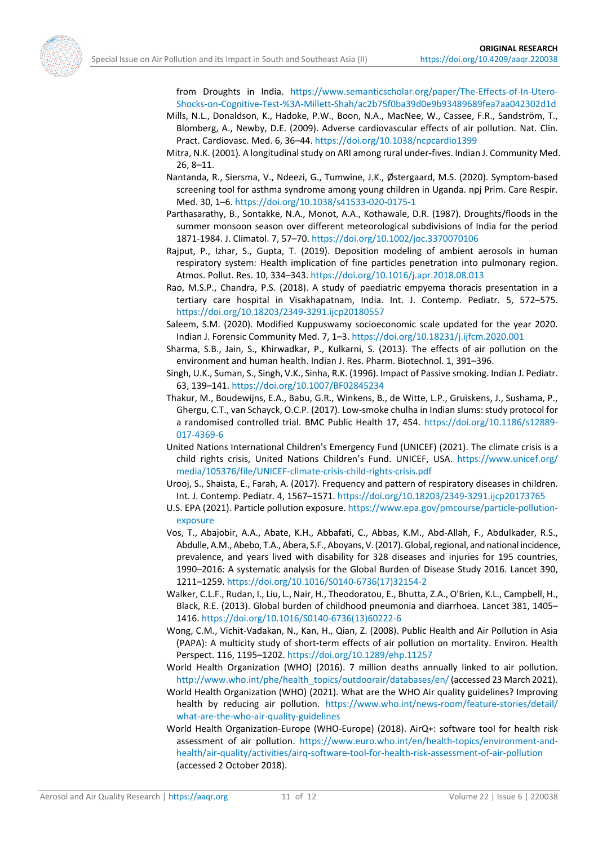<span id="page-10-13"></span><span id="page-10-4"></span>

from Droughts in India. [https://www.semanticscholar.org/paper/The-Effects-of-In-Utero-](https://www.semanticscholar.org/paper/The-Effects-of-In-Utero-Shocks-on-Cognitive-Test-%3A-Millett-Shah/ac2b75f0ba39d0e9b93489689fea7aa042302d1d)[Shocks-on-Cognitive-Test-%3A-Millett-Shah/ac2b75f0ba39d0e9b93489689fea7aa042302d1d](https://www.semanticscholar.org/paper/The-Effects-of-In-Utero-Shocks-on-Cognitive-Test-%3A-Millett-Shah/ac2b75f0ba39d0e9b93489689fea7aa042302d1d)

- Mills, N.L., Donaldson, K., Hadoke, P.W., Boon, N.A., MacNee, W., Cassee, F.R., Sandström, T., Blomberg, A., Newby, D.E. (2009). Adverse cardiovascular effects of air pollution. Nat. Clin. Pract. Cardiovasc. Med. 6, 36–44[. https://doi.org/10.1038/ncpcardio1399](https://doi.org/10.1038/ncpcardio1399)
- Mitra, N.K. (2001). A longitudinal study on ARI among rural under-fives. Indian J. Community Med. 26, 8–11.
- <span id="page-10-16"></span>Nantanda, R., Siersma, V., Ndeezi, G., Tumwine, J.K., Ø stergaard, M.S. (2020). Symptom-based screening tool for asthma syndrome among young children in Uganda. npj Prim. Care Respir. Med. 30, 1–6.<https://doi.org/10.1038/s41533-020-0175-1>
- <span id="page-10-10"></span>Parthasarathy, B., Sontakke, N.A., Monot, A.A., Kothawale, D.R. (1987). Droughts/floods in the summer monsoon season over different meteorological subdivisions of India for the period 1871-1984. J. Climatol. 7, 57–70[. https://doi.org/10.1002/joc.3370070106](https://doi.org/10.1002/joc.3370070106)
- <span id="page-10-8"></span>Rajput, P., Izhar, S., Gupta, T. (2019). Deposition modeling of ambient aerosols in human respiratory system: Health implication of fine particles penetration into pulmonary region. Atmos. Pollut. Res. 10, 334–343. <https://doi.org/10.1016/j.apr.2018.08.013>
- <span id="page-10-18"></span>Rao, M.S.P., Chandra, P.S. (2018). A study of paediatric empyema thoracis presentation in a tertiary care hospital in Visakhapatnam, India. Int. J. Contemp. Pediatr. 5, 572–575. <https://doi.org/10.18203/2349-3291.ijcp20180557>
- <span id="page-10-9"></span>Saleem, S.M. (2020). Modified Kuppuswamy socioeconomic scale updated for the year 2020. Indian J. Forensic Community Med. 7, 1–3[. https://doi.org/10.18231/j.ijfcm.2020.001](https://doi.org/10.18231/j.ijfcm.2020.001)
- <span id="page-10-5"></span>Sharma, S.B., Jain, S., Khirwadkar, P., Kulkarni, S. (2013). The effects of air pollution on the environment and human health. Indian J. Res. Pharm. Biotechnol. 1, 391–396.
- <span id="page-10-14"></span>Singh, U.K., Suman, S., Singh, V.K., Sinha, R.K. (1996). Impact of Passive smoking. Indian J. Pediatr. 63, 139–141.<https://doi.org/10.1007/BF02845234>
- <span id="page-10-15"></span>Thakur, M., Boudewijns, E.A., Babu, G.R., Winkens, B., de Witte, L.P., Gruiskens, J., Sushama, P., Ghergu, C.T., van Schayck, O.C.P. (2017). Low-smoke chulha in Indian slums: study protocol for a randomised controlled trial. BMC Public Health 17, 454. [https://doi.org/10.1186/s12889-](https://doi.org/10.1186/s12889-017-4369-6) [017-4369-6](https://doi.org/10.1186/s12889-017-4369-6)
- <span id="page-10-17"></span>United Nations International Children's Emergency Fund (UNICEF) (2021). The climate crisis is a child rights crisis, United Nations Children's Fund. UNICEF, USA. [https://www.unicef.org/](https://www.unicef.org/media/105376/file/UNICEF-climate-crisis-child-rights-crisis.pdf) [media/105376/file/UNICEF-climate-crisis-child-rights-crisis.pdf](https://www.unicef.org/media/105376/file/UNICEF-climate-crisis-child-rights-crisis.pdf)
- <span id="page-10-12"></span>Urooj, S., Shaista, E., Farah, A. (2017). Frequency and pattern of respiratory diseases in children. Int. J. Contemp. Pediatr. 4, 1567–1571.<https://doi.org/10.18203/2349-3291.ijcp20173765>
- <span id="page-10-6"></span>U.S. EPA (2021). Particle pollution exposure[. https://www.epa.gov/pmcourse/particle-pollution](https://www.epa.gov/pmcourse/particle-pollution-exposure)[exposure](https://www.epa.gov/pmcourse/particle-pollution-exposure)
- <span id="page-10-2"></span>Vos, T., Abajobir, A.A., Abate, K.H., Abbafati, C., Abbas, K.M., Abd-Allah, F., Abdulkader, R.S., Abdulle, A.M., Abebo, T.A., Abera, S.F., Aboyans, V. (2017). Global, regional, and national incidence, prevalence, and years lived with disability for 328 diseases and injuries for 195 countries, 1990–2016: A systematic analysis for the Global Burden of Disease Study 2016. Lancet 390, 1211–1259. [https://doi.org/10.1016/S0140-6736\(17\)32154-2](https://doi.org/10.1016/S0140-6736(17)32154-2)
- <span id="page-10-7"></span>Walker, C.L.F., Rudan, I., Liu, L., Nair, H., Theodoratou, E., Bhutta, Z.A., O'Brien, K.L., Campbell, H., Black, R.E. (2013). Global burden of childhood pneumonia and diarrhoea. Lancet 381, 1405– 1416. [https://doi.org/10.1016/S0140-6736\(13\)60222-6](https://doi.org/10.1016/S0140-6736(13)60222-6)
- <span id="page-10-1"></span>Wong, C.M., Vichit-Vadakan, N., Kan, H., Qian, Z. (2008). Public Health and Air Pollution in Asia (PAPA): A multicity study of short-term effects of air pollution on mortality. Environ. Health Perspect. 116, 1195–1202[. https://doi.org/10.1289/ehp.11257](https://doi.org/10.1289/ehp.11257)
- <span id="page-10-3"></span>World Health Organization (WHO) (2016). 7 million deaths annually linked to air pollution. [http://www.who.int/phe/health\\_topics/outdoorair/databases/en/\(](http://www.who.int/phe/health_topics/outdoorair/databases/en/)accessed 23 March 2021).
- <span id="page-10-0"></span>World Health Organization (WHO) (2021). What are the WHO Air quality guidelines? Improving health by reducing air pollution. [https://www.who.int/news-room/feature-stories/detail/](https://www.who.int/news-room/feature-stories/detail/what-are-the-who-air-quality-guidelines) [what-are-the-who-air-quality-guidelines](https://www.who.int/news-room/feature-stories/detail/what-are-the-who-air-quality-guidelines)
- <span id="page-10-11"></span>World Health Organization-Europe (WHO-Europe) (2018). AirQ+: software tool for health risk assessment of air pollution. [https://www.euro.who.int/en/health-topics/environment-and](https://www.euro.who.int/en/health-topics/environment-and-health/air-quality/activities/airq-software-tool-for-health-risk-assessment-of-air-pollution)[health/air-quality/activities/airq-software-tool-for-health-risk-assessment-of-air-pollution](https://www.euro.who.int/en/health-topics/environment-and-health/air-quality/activities/airq-software-tool-for-health-risk-assessment-of-air-pollution) (accessed 2 October 2018).